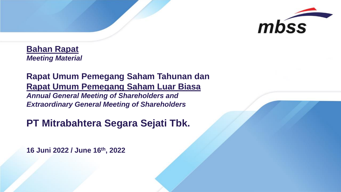

**Bahan Rapat** *Meeting Material*

**Rapat Umum Pemegang Saham Tahunan dan Rapat Umum Pemegang Saham Luar Biasa** *Annual General Meeting of Shareholders and Extraordinary General Meeting of Shareholders*

# **PT Mitrabahtera Segara Sejati Tbk.**

**16 Juni 2022 / June 16th , 2022**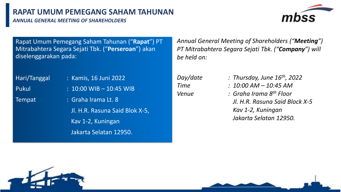## **RAPAT UMUM PEMEGANG SAHAM TAHUNAN**

*ANNUAL GENERAL MEETING OF SHAREHOLDERS*



Rapat Umum Pemegang Saham Tahunan ("**Rapat**") PT Mitrabahtera Segara Sejati Tbk. ("**Perseroan**") akan diselenggarakan pada:

Hari/Tanggal : Kamis, 16 Juni 2022 Pukul : 10:00 WIB – 10:45 WIB

Tempat : Graha Irama Lt. 8

Jl. H.R. Rasuna Said Blok X-5, Kav 1-2, Kuningan Jakarta Selatan 12950.

*Annual General Meeting of Shareholders ("Meeting") PT Mitrabahtera Segara Sejati Tbk. ("Company") will be held on:*

- *Day/date : Thursday, June 16th, 2022*
- *Time : 10:00 AM – 10:45 AM*
- *Venue : Graha Irama 8 th Floor Jl. H.R. Rasuna Said Block X-5 Kav 1-2, Kuningan Jakarta Selatan 12950.*

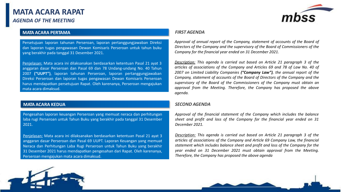

#### **MATA ACARA PERTAMA**

Persetujuan laporan tahunan Perseroan, laporan pertanggungjawaban Direksi dan laporan tugas pengawasan Dewan Komisaris Perseroan untuk tahun buku yang berakhir pada tanggal 31 Desember 2021.

Penjelasan: Mata acara ini dilaksanakan berdasarkan ketentuan Pasal 21 ayat 3 anggaran dasar Perseroan dan Pasal 69 dan 78 Undang-undang No. 40 Tahun 2007 **("UUPT")**, laporan tahunan Perseroan, laporan pertanggungjawaban Direksi Perseroan dan laporan tugas pengawasan Dewan Komisaris Perseroan harus mendapatkan persetujuan Rapat. Oleh karenanya, Perseroan mengajukan mata acara dimaksud.

#### **MATA ACARA KEDUA**

Pengesahan laporan keuangan Perseroan yang memuat neraca dan perhitungan laba rugi Perseroan untuk Tahun Buku yang berakhir pada tanggal 31 Desember 2021.

Penjelasan: Mata acara ini dilaksanakan berdasarkan ketentuan Pasal 21 ayat 3 anggaran dasar Perseroan dan Pasal 69 UUPT. Laporan Keuangan yang memuat Neraca dan Perhitungan Laba Rugi Perseroan untuk Tahun Buku yang berakhir 31 Desember 2021 harus mendapatkan pengesahan dari Rapat. Oleh karenanya, Perseroan mengajukan mata acara dimaksud.

#### *FIRST AGENDA*

*Approval of annual report of the Company, statement of accounts of the Board of Directors of the Company and the supervisory of the Board of Commissioners of the Company for the financial year ended on 31 December 2021.*

*Description: This agenda is carried out based on Article 21 paragraph 3 of the articles of associations of the Company and Articles 69 and 78 of Law No. 40 of 2007 on Limited Liability Companies ("Company Law"), the annual report of the Company, statement of accounts of the Board of Directors of the Company and the supervisory of the Board of the Commissioners of the Company must obtain an approval from the Meeting. Therefore, the Company has proposed the above agenda.*

#### *SECOND AGENDA*

*Approval of the financial statement of the Company which includes the balance sheet and profit and loss of the Company for the financial year ended on 31 December 2021.*

*Description: This agenda is carried out based on Article 21 paragraph 3 of the articles of associations of the Company and Article 69 Company Law, the financial statement which includes balance sheet and profit and loss of the Company for the year ended on 31 December 2021 must obtain approval from the Meeting. Therefore, the Company has proposed the above agenda*

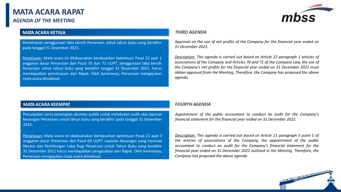

#### **MATA ACARA KETIGA**

Persetujuan penggunaan laba bersih Perseroan untuk tahun buku yang berakhir pada tanggal 31 Desember 2021.

Penjelasan: Mata acara ini dilaksanakan berdasarkan ketentuan Pasal 22 ayat 1 anggaran dasar Perseroan dan Pasal 70 dan 71 UUPT, penggunaan laba bersih Perseroan untuk tahun buku yang berakhir tanggal 31 Desember 2021, harus mendapatkan persetujuan dari Rapat. Oleh karenanya, Perseroan mengajukan mata acara dimaksud.

#### *THIRD AGENDA*

*Approval on the use of net profits of the Company for the financial year ended on 31 December 2021.*

*Description: This agenda is carried out based on Article 22 paragraph 1 articles of associations of the Company and Articles 70 and 71 of the Company Law, the use of the Company's net profits for the financial year ended on 31 December 2021 must obtain approval from the Meeting. Therefore, the Company has proposed the above agenda.*

#### **MATA ACARA KEEMPAT**

Penunjukan serta penetapan akuntan publik untuk melakukan audit atas laporan keuangan Perseroan untuk tahun buku yang berakhir pada tanggal 31 Desember 2022.

Penjelasan: Mata acara ini dilaksanakan berdasarkan ketentuan Pasal 21 ayat 3 anggaran dasar Perseroan dan Pasal 69 UUPT. Laporan Keuangan yang memuat Neraca dan Perhitungan Laba Rugi Perseroan untuk Tahun Buku yang berakhir 31 Desember 2021 harus mendapatkan pengesahan dari Rapat. Oleh karenanya, Perseroan mengajukan mata acara dimaksud.

#### *FOURTH AGENDA*

*Appointment of the public accountant to conduct an audit for the Company's financial statement for the financial year ended on 31 December 2022.*

*Description: This agenda is carried out based on Article 11 paragraph 5 point C of the articles of associations of the Company, the appointment of the public accountant to conduct an audit for the Company's financial statement for the financial year ended on 31 December 2022 outlined in the Meeting. Therefore, the Company has proposed the above agenda*

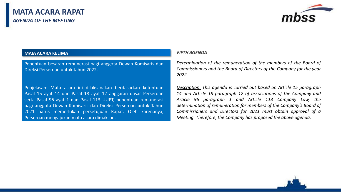

#### **MATA ACARA KELIMA**

Penentuan besaran remunerasi bagi anggota Dewan Komisaris dan Direksi Perseroan untuk tahun 2022.

Penjelasan: Mata acara ini dilaksanakan berdasarkan ketentuan Pasal 15 ayat 14 dan Pasal 18 ayat 12 anggaran dasar Perseroan serta Pasal 96 ayat 1 dan Pasal 113 UUPT, penentuan remunerasi bagi anggota Dewan Komisaris dan Direksi Perseroan untuk Tahun 2021 harus memerlukan persetujuan Rapat. Oleh karenanya, Perseroan mengajukan mata acara dimaksud.

#### *FIFTH AGENDA*

*Determination of the remuneration of the members of the Board of Commissioners and the Board of Directors of the Company for the year 2022.*

*Description: This agenda is carried out based on Article 15 paragraph 14 and Article 18 paragraph 12 of associations of the Company and Article 96 paragraph 1 and Article 113 Company Law, the determination of remuneration for members of the Company's Board of Commissioners and Directors for 2021 must obtain approval of a Meeting. Therefore, the Company has proposed the above agenda.*

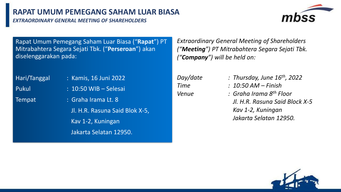*EXTRAORDINARY GENERAL MEETING OF SHAREHOLDERS*



Rapat Umum Pemegang Saham Luar Biasa ("**Rapat**") PT Mitrabahtera Segara Sejati Tbk. ("**Perseroan**") akan diselenggarakan pada:

Hari/Tanggal : Kamis, 16 Juni 2022

Pukul : 10:50 WIB – Selesai

Tempat : Graha Irama Lt. 8

Jl. H.R. Rasuna Said Blok X-5, Kav 1-2, Kuningan Jakarta Selatan 12950.

*Extraordinary General Meeting of Shareholders ("Meeting") PT Mitrabahtera Segara Sejati Tbk. ("Company") will be held on:*

- *Day/date : Thursday, June 16th, 2022*
- *Time : 10:50 AM – Finish*
- *Venue : Graha Irama 8 th Floor Jl. H.R. Rasuna Said Block X-5 Kav 1-2, Kuningan Jakarta Selatan 12950.*

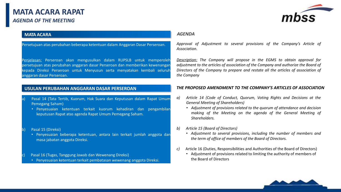

#### **MATA ACARA**

Persetujuan atas perubahan beberapa ketentuan dalam Anggaran Dasar Perseroan.

Penjelasan: Perseroan akan mengusulkan dalam RUPSLB untuk memperoleh persetujuan atas perubahan anggaran dasar Perseroan dan memberikan kewenangan kepada Direksi Perseroan untuk Menyusun serta menyatakan kembali seluruh anggaran dasar Perseroan.

#### **USULAN PERUBAHAN ANGGARAN DASAR PERSEROAN**

- Pasal 14 (Tata Tertib, Kuorum, Hak Suara dan Keputusan dalam Rapat Umum Pemegang Saham)
	- Penyesuaian ketentuan terkait kuorum kehadiran dan pengambilan keputusan Rapat atas agenda Rapat Umum Pemegang Saham.

#### b) Pasal 15 (Direksi)

• Penyesuaian beberapa ketentuan, antara lain terkait jumlah anggota dan masa jabatan anggota Direksi.

Pasal 16 (Tugas, Tanggung Jawab dan Wewenang Direksi)

• Penyesuaian ketentuan terkait pembatasan wewenang anggota Direksi.

#### *AGENDA*

*Approval of Adjustment to several provisions of the Company's Article of Association.*

*Description: The Company will propose in the EGMS to obtain approval for adjustment to the articles of association of the Company and authorize the Board of Directors of the Company to prepare and restate all the articles of association of the Company*

#### *THE PROPOSED AMENDMENT TO THE COMPANY'S ARTICLES OF ASSOCIATION*

- *a) Article 14 (Code of Conduct, Quorum, Voting Rights and Decisions at the General Meeting of Shareholders)*
	- *Adjustment of provisions related to the quorum of attendance and decision making of the Meeting on the agenda of the General Meeting of Shareholders.*
- *b) Article 15 (Board of Directors)*
	- *Adjustment to several provisions, including the number of members and the term of office of members of the Board of Directors.*
- *c)* Article 16 (Duties, Responsibilities and Authorities of the Board of Directors)
	- Adjustment of provisions related to limiting the authority of members of the Board of Directors

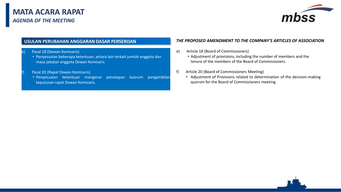

#### **USULAN PERUBAHAN ANGGARAN DASAR PERSEROAN**

#### Pasal 18 (Dewan Komisaris)

• Penyesuaian beberapa ketentuan, antara lain terkait jumlah anggota dan masa jabatan anggota Dewan Komisaris

#### Pasal 20 (Rapat Dewan Komisaris)

• Penyesuaian ketentuan mengenai penetapan kuorum pengambilan keputusan rapat Dewan Komisaris.

#### *THE PROPOSED AMENDMENT TO THE COMPANY'S ARTICLES OF ASSOCIATION*

- e) Article 18 (Board of Commissioners)
	- Adjustment of provisions, including the number of members and the tenure of the members of the Board of Commissioners.
- f) Article 20 (Board of Commissioners Meeting)
	- Adjustment of Provisions related to determination of the decision-making quorum for the Board of Commissioners meeting.